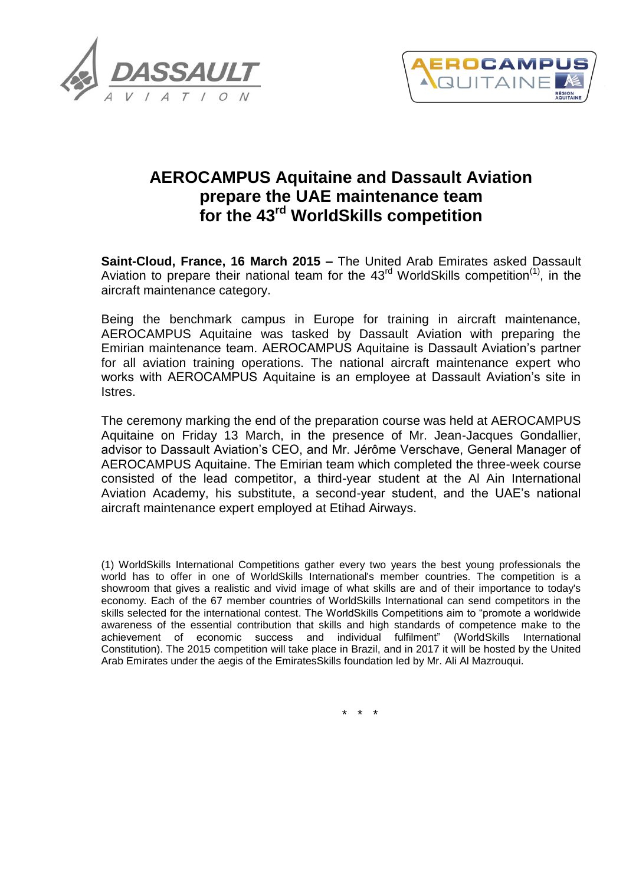



# **AEROCAMPUS Aquitaine and Dassault Aviation prepare the UAE maintenance team for the 43rd WorldSkills competition**

**Saint-Cloud, France, 16 March 2015 –** The United Arab Emirates asked Dassault Aviation to prepare their national team for the  $43<sup>rd</sup>$  WorldSkills competition<sup>(1)</sup>, in the aircraft maintenance category.

Being the benchmark campus in Europe for training in aircraft maintenance, AEROCAMPUS Aquitaine was tasked by Dassault Aviation with preparing the Emirian maintenance team. AEROCAMPUS Aquitaine is Dassault Aviation's partner for all aviation training operations. The national aircraft maintenance expert who works with AEROCAMPUS Aquitaine is an employee at Dassault Aviation's site in Istres.

The ceremony marking the end of the preparation course was held at AEROCAMPUS Aquitaine on Friday 13 March, in the presence of Mr. Jean-Jacques Gondallier, advisor to Dassault Aviation's CEO, and Mr. Jérôme Verschave, General Manager of AEROCAMPUS Aquitaine. The Emirian team which completed the three-week course consisted of the lead competitor, a third-year student at the Al Ain International Aviation Academy, his substitute, a second-year student, and the UAE's national aircraft maintenance expert employed at Etihad Airways.

(1) WorldSkills International Competitions gather every two years the best young professionals the world has to offer in one of WorldSkills International's member countries. The competition is a showroom that gives a realistic and vivid image of what skills are and of their importance to today's economy. Each of the 67 member countries of WorldSkills International can send competitors in the skills selected for the international contest. The WorldSkills Competitions aim to "promote a worldwide awareness of the essential contribution that skills and high standards of competence make to the achievement of economic success and individual fulfilment" (WorldSkills International Constitution). The 2015 competition will take place in Brazil, and in 2017 it will be hosted by the United Arab Emirates under the aegis of the EmiratesSkills foundation led by Mr. Ali Al Mazrouqui.

\* \* \*